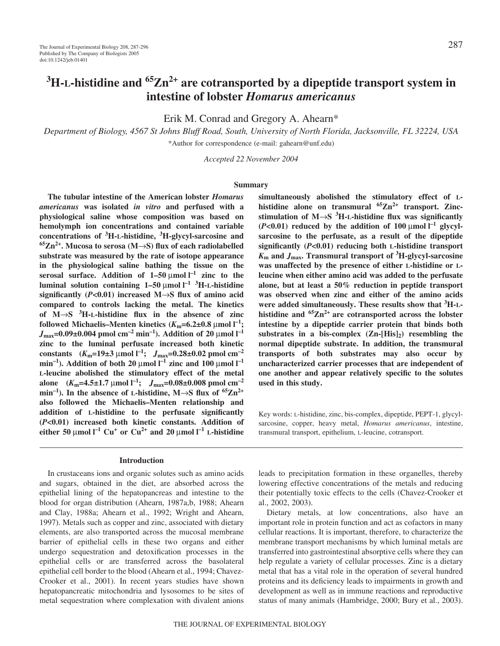# **3 H-L-histidine and 65Zn2+ are cotransported by a dipeptide transport system in intestine of lobster** *Homarus americanus*

Erik M. Conrad and Gregory A. Ahearn\*

*Department of Biology, 4567 St Johns Bluff Road, South, University of North Florida, Jacksonville, FL 32224, USA* \*Author for correspondence (e-mail: gahearn@unf.edu)

*Accepted 22 November 2004*

#### **Summary**

**The tubular intestine of the American lobster** *Homarus americanus* **was isolated** *in vitro* **and perfused with a physiological saline whose composition was based on hemolymph ion concentrations and contained variable concentrations of <sup>3</sup> H-L-histidine, <sup>3</sup> H-glycyl-sarcosine and 65Zn2+. Mucosa to serosa (M**→**S) flux of each radiolabelled substrate was measured by the rate of isotope appearance in the physiological saline bathing the tissue on the serosal surface.** Addition of  $1-50 \mu$ mol  $l^{-1}$  zinc to the **luminal solution containing 1–50** μmol  $1^{-1}$  <sup>3</sup>H-L-histidine **significantly (***P***<0.01) increased M**→**S flux of amino acid compared to controls lacking the metal. The kinetics of M**→**S <sup>3</sup> H-L-histidine flux in the absence of zinc followed Michaelis–Menten kinetics (***K***m=6.2±0.8·**µ**mol·l –1;**  $J_{\text{max}}$ =0.09±0.004 pmol cm<sup>-2</sup> min<sup>-1</sup>). Addition of 20 µmol l<sup>-1</sup> **zinc to the luminal perfusate increased both kinetic constants**  $(K_m=19\pm3 \text{ }\mu\text{mol l}^{-1}; J_{\text{max}}=0.28\pm0.02 \text{ }\mu\text{mol cm}^{-2}$ **min**<sup>-1</sup>). Addition of both 20  $\mu$ mol l<sup>-1</sup> zinc and 100  $\mu$ mol l<sup>-1</sup> **L-leucine abolished the stimulatory effect of the metal alone**  $(K_m=4.5\pm1.7 \text{ }\mu\text{mol l}^{-1};$   $J_{\text{max}}=0.08\pm0.008 \text{ }\mu\text{mol cm}^{-2}$  $\text{min}^{-1}$ ). In the absence of L-histidine, M $\rightarrow$ S flux of  ${}^{65} \text{Zn}^{2+}$ **also followed the Michaelis–Menten relationship and addition of L-histidine to the perfusate significantly (***P***<0.01) increased both kinetic constants. Addition of either 50**  $\mu$ mol  $I^{-1}$  Cu<sup>+</sup> or Cu<sup>2+</sup> and 20  $\mu$ mol  $I^{-1}$  L-histidine

#### **Introduction**

In crustaceans ions and organic solutes such as amino acids and sugars, obtained in the diet, are absorbed across the epithelial lining of the hepatopancreas and intestine to the blood for organ distribution (Ahearn, 1987a,b, 1988; Ahearn and Clay, 1988a; Ahearn et al., 1992; Wright and Ahearn, 1997). Metals such as copper and zinc, associated with dietary elements, are also transported across the mucosal membrane barrier of epithelial cells in these two organs and either undergo sequestration and detoxification processes in the epithelial cells or are transferred across the basolateral epithelial cell border to the blood (Ahearn et al., 1994; Chavez-Crooker et al., 2001). In recent years studies have shown hepatopancreatic mitochondria and lysosomes to be sites of metal sequestration where complexation with divalent anions

**simultaneously abolished the stimulatory effect of Lhistidine alone on transmural 65Zn2+ transport. Zincstimulation of M**→**S <sup>3</sup> H-L-histidine flux was significantly**  $(P<0.01)$  reduced by the addition of  $100 \mu$ mol  $l^{-1}$  glycyl**sarcosine to the perfusate, as a result of the dipeptide significantly (***P***<0.01) reducing both L-histidine transport** *K***<sup>m</sup> and** *J***max. Transmural transport of <sup>3</sup> H-glycyl-sarcosine was unaffected by the presence of either L-histidine or Lleucine when either amino acid was added to the perfusate alone, but at least a 50% reduction in peptide transport was observed when zinc and either of the amino acids were added simultaneously. These results show that <sup>3</sup> H-Lhistidine and 65Zn2+ are cotransported across the lobster intestine by a dipeptide carrier protein that binds both** substrates in a bis-complex  $(Zn-[His]_2)$  resembling the **normal dipeptide substrate. In addition, the transmural transports of both substrates may also occur by uncharacterized carrier processes that are independent of one another and appear relatively specific to the solutes used in this study.**

Key words: L-histidine, zinc, bis-complex, dipeptide, PEPT-1, glycylsarcosine, copper, heavy metal, *Homarus americanus*, intestine, transmural transport, epithelium, L-leucine, cotransport.

leads to precipitation formation in these organelles, thereby lowering effective concentrations of the metals and reducing their potentially toxic effects to the cells (Chavez-Crooker et al., 2002, 2003).

Dietary metals, at low concentrations, also have an important role in protein function and act as cofactors in many cellular reactions. It is important, therefore, to characterize the membrane transport mechanisms by which luminal metals are transferred into gastrointestinal absorptive cells where they can help regulate a variety of cellular processes. Zinc is a dietary metal that has a vital role in the operation of several hundred proteins and its deficiency leads to impairments in growth and development as well as in immune reactions and reproductive status of many animals (Hambridge, 2000; Bury et al., 2003).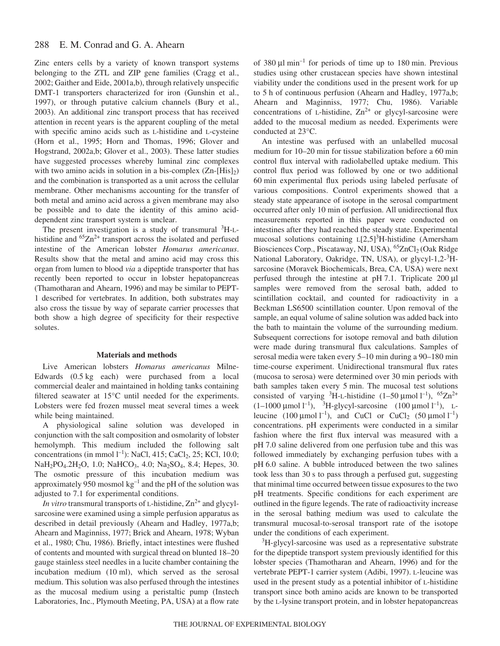#### 288 E. M. Conrad and G. A. Ahearn

Zinc enters cells by a variety of known transport systems belonging to the ZTL and ZIP gene families (Cragg et al., 2002; Gaither and Eide, 2001a,b), through relatively unspecific DMT-1 transporters characterized for iron (Gunshin et al., 1997), or through putative calcium channels (Bury et al., 2003). An additional zinc transport process that has received attention in recent years is the apparent coupling of the metal with specific amino acids such as L-histidine and L-cysteine (Horn et al., 1995; Horn and Thomas, 1996; Glover and Hogstrand, 2002a,b; Glover et al., 2003). These latter studies have suggested processes whereby luminal zinc complexes with two amino acids in solution in a bis-complex  $(Zn-[His]_2)$ and the combination is transported as a unit across the cellular membrane. Other mechanisms accounting for the transfer of both metal and amino acid across a given membrane may also be possible and to date the identity of this amino aciddependent zinc transport system is unclear.

The present investigation is a study of transmural <sup>3</sup>H-Lhistidine and  ${}^{65}Zn^{2+}$  transport across the isolated and perfused intestine of the American lobster *Homarus americanus*. Results show that the metal and amino acid may cross this organ from lumen to blood *via* a dipeptide transporter that has recently been reported to occur in lobster hepatopancreas (Thamotharan and Ahearn, 1996) and may be similar to PEPT-1 described for vertebrates. In addition, both substrates may also cross the tissue by way of separate carrier processes that both show a high degree of specificity for their respective solutes.

#### **Materials and methods**

Live American lobsters *Homarus americanus* Milne-Edwards (0.5 kg each) were purchased from a local commercial dealer and maintained in holding tanks containing filtered seawater at 15°C until needed for the experiments. Lobsters were fed frozen mussel meat several times a week while being maintained.

A physiological saline solution was developed in conjunction with the salt composition and osmolarity of lobster hemolymph. This medium included the following salt concentrations (in mmol  $l^{-1}$ ): NaCl, 415; CaCl<sub>2</sub>, 25; KCl, 10.0; NaH<sub>2</sub>PO<sub>4</sub>.2H<sub>2</sub>O, 1.0; NaHCO<sub>3</sub>, 4.0; Na<sub>2</sub>SO<sub>4</sub>, 8.4; Hepes, 30. The osmotic pressure of this incubation medium was approximately 950 mosmol  $kg^{-1}$  and the pH of the solution was adjusted to 7.1 for experimental conditions.

*In vitro* transmural transports of L-histidine,  $Zn^{2+}$  and glycylsarcosine were examined using a simple perfusion apparatus as described in detail previously (Ahearn and Hadley, 1977a,b; Ahearn and Maginniss, 1977; Brick and Ahearn, 1978; Wyban et al., 1980; Chu, 1986). Briefly, intact intestines were flushed of contents and mounted with surgical thread on blunted 18–20 gauge stainless steel needles in a lucite chamber containing the incubation medium  $(10 \text{ ml})$ , which served as the serosal medium. This solution was also perfused through the intestines as the mucosal medium using a peristaltic pump (Instech Laboratories, Inc., Plymouth Meeting, PA, USA) at a flow rate

of 380  $\mu$ l min<sup>-1</sup> for periods of time up to 180 min. Previous studies using other crustacean species have shown intestinal viability under the conditions used in the present work for up to 5 h of continuous perfusion (Ahearn and Hadley, 1977a,b; Ahearn and Maginniss, 1977; Chu, 1986). Variable concentrations of L-histidine,  $Zn^{2+}$  or glycyl-sarcosine were added to the mucosal medium as needed. Experiments were conducted at 23°C.

An intestine was perfused with an unlabelled mucosal medium for 10–20 min for tissue stabilization before a 60 min control flux interval with radiolabelled uptake medium. This control flux period was followed by one or two additional 60 min experimental flux periods using labeled perfusate of various compositions. Control experiments showed that a steady state appearance of isotope in the serosal compartment occurred after only 10 min of perfusion. All unidirectional flux measurements reported in this paper were conducted on intestines after they had reached the steady state. Experimental mucosal solutions containing  $L[2,5]$ <sup>3</sup>H-histidine (Amersham Biosciences Corp., Piscataway, NJ, USA), <sup>65</sup>ZnCl<sub>2</sub> (Oak Ridge National Laboratory, Oakridge, TN, USA), or glycyl-1,2-3Hsarcosine (Moravek Biochemicals, Brea, CA, USA) were next perfused through the intestine at  $pH7.1$ . Triplicate 200  $\mu$ l samples were removed from the serosal bath, added to scintillation cocktail, and counted for radioactivity in a Beckman LS6500 scintillation counter. Upon removal of the sample, an equal volume of saline solution was added back into the bath to maintain the volume of the surrounding medium. Subsequent corrections for isotope removal and bath dilution were made during transmural flux calculations. Samples of serosal media were taken every 5–10 min during a 90–180 min time-course experiment. Unidirectional transmural flux rates (mucosa to serosa) were determined over 30 min periods with bath samples taken every 5 min. The mucosal test solutions consisted of varying <sup>3</sup>H-L-histidine  $(1-50 \mu \text{mol} \, \text{m}^{-1})$ ,  $65 \text{Zn}^{2+}$  $(1-1000 \,\mu\text{mol}\,l^{-1})$ , <sup>3</sup>H-glycyl-sarcosine  $(100 \,\mu\text{mol}\,l^{-1})$ , Lleucine  $(100 \text{ }\mu\text{mol l}^{-1})$ , and CuCl or CuCl<sub>2</sub>  $(50 \text{ }\mu\text{mol l}^{-1})$ concentrations. pH experiments were conducted in a similar fashion where the first flux interval was measured with a pH 7.0 saline delivered from one perfusion tube and this was followed immediately by exchanging perfusion tubes with a pH 6.0 saline. A bubble introduced between the two salines took less than 30 s to pass through a perfused gut, suggesting that minimal time occurred between tissue exposures to the two pH treatments. Specific conditions for each experiment are outlined in the figure legends. The rate of radioactivity increase in the serosal bathing medium was used to calculate the transmural mucosal-to-serosal transport rate of the isotope under the conditions of each experiment.

<sup>3</sup>H-glycyl-sarcosine was used as a representative substrate for the dipeptide transport system previously identified for this lobster species (Thamotharan and Ahearn, 1996) and for the vertebrate PEPT-1 carrier system (Adibi, 1997). L-leucine was used in the present study as a potential inhibitor of L-histidine transport since both amino acids are known to be transported by the L-lysine transport protein, and in lobster hepatopancreas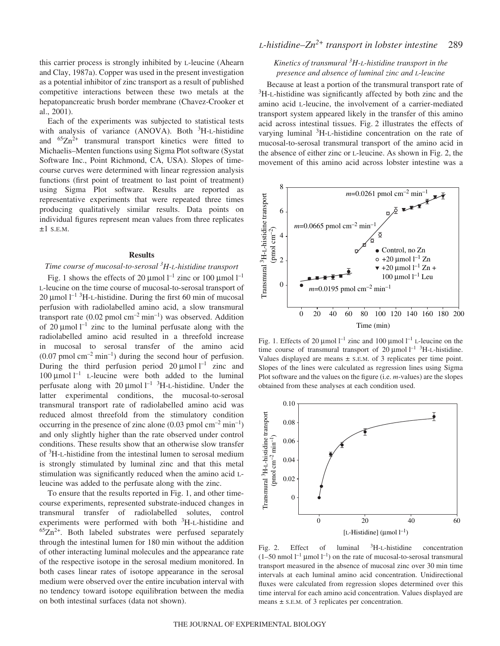this carrier process is strongly inhibited by L-leucine (Ahearn and Clay, 1987a). Copper was used in the present investigation as a potential inhibitor of zinc transport as a result of published competitive interactions between these two metals at the hepatopancreatic brush border membrane (Chavez-Crooker et al., 2001).

Each of the experiments was subjected to statistical tests with analysis of variance (ANOVA). Both <sup>3</sup>H-L-histidine and  ${}^{65}Zn^{2+}$  transmural transport kinetics were fitted to Michaelis–Menten functions using Sigma Plot software (Systat Software Inc., Point Richmond, CA, USA). Slopes of timecourse curves were determined with linear regression analysis functions (first point of treatment to last point of treatment) using Sigma Plot software. Results are reported as representative experiments that were repeated three times producing qualitatively similar results. Data points on individual figures represent mean values from three replicates  $\pm 1$  S.E.M.

### **Results**

# *Time course of mucosal-to-serosal <sup>3</sup> H-L-histidine transport*

Fig. 1 shows the effects of 20  $\mu$ mol l<sup>-1</sup> zinc or 100  $\mu$ mol l<sup>-1</sup> L-leucine on the time course of mucosal-to-serosal transport of 20  $\mu$ mol  $l^{-1}$ <sup>3</sup>H-L-histidine. During the first 60 min of mucosal perfusion with radiolabelled amino acid, a slow transmural transport rate (0.02 pmol  $cm^{-2}$  min<sup>-1</sup>) was observed. Addition of 20  $\mu$ mol l<sup>-1</sup> zinc to the luminal perfusate along with the radiolabelled amino acid resulted in a threefold increase in mucosal to serosal transfer of the amino acid  $(0.07 \text{ pmol cm}^{-2} \text{min}^{-1})$  during the second hour of perfusion. During the third perfusion period  $20 \mu$ mol  $l^{-1}$  zinc and 100  $\mu$ mol l<sup>-1</sup> L-leucine were both added to the luminal perfusate along with 20  $\mu$ mol l<sup>-1</sup> <sup>3</sup>H-L-histidine. Under the latter experimental conditions, the mucosal-to-serosal transmural transport rate of radiolabelled amino acid was reduced almost threefold from the stimulatory condition occurring in the presence of zinc alone  $(0.03 \text{ pmol cm}^{-2} \text{min}^{-1})$ and only slightly higher than the rate observed under control conditions. These results show that an otherwise slow transfer of <sup>3</sup>H-L-histidine from the intestinal lumen to serosal medium is strongly stimulated by luminal zinc and that this metal stimulation was significantly reduced when the amino acid Lleucine was added to the perfusate along with the zinc.

To ensure that the results reported in Fig. 1, and other timecourse experiments, represented substrate-induced changes in transmural transfer of radiolabelled solutes, control experiments were performed with both <sup>3</sup>H-L-histidine and  $65Zn^{2+}$ . Both labeled substrates were perfused separately through the intestinal lumen for 180 min without the addition of other interacting luminal molecules and the appearance rate of the respective isotope in the serosal medium monitored. In both cases linear rates of isotope appearance in the serosal medium were observed over the entire incubation interval with no tendency toward isotope equilibration between the media on both intestinal surfaces (data not shown).

# *L-histidine–Zn*<sup>2+</sup> *transport in lobster intestine* 289

## *Kinetics of transmural <sup>3</sup> H-L-histidine transport in the presence and absence of luminal zinc and L-leucine*

Because at least a portion of the transmural transport rate of <sup>3</sup>H-L-histidine was significantly affected by both zinc and the amino acid L-leucine, the involvement of a carrier-mediated transport system appeared likely in the transfer of this amino acid across intestinal tissues. Fig. 2 illustrates the effects of varying luminal <sup>3</sup>H-L-histidine concentration on the rate of mucosal-to-serosal transmural transport of the amino acid in the absence of either zinc or L-leucine. As shown in Fig. 2, the movement of this amino acid across lobster intestine was a



Fig. 1. Effects of 20  $\mu$ mol l<sup>-1</sup> zinc and 100  $\mu$ mol l<sup>-1</sup> L-leucine on the time course of transmural transport of 20  $\mu$ mol l<sup>-1</sup> <sup>3</sup>H-L-histidine. Values displayed are means ± S.E.M. of 3 replicates per time point. Slopes of the lines were calculated as regression lines using Sigma Plot software and the values on the figure (i.e. *m*-values) are the slopes obtained from these analyses at each condition used.



Fig. 2. Effect of luminal  ${}^{3}$ H-L-histidine concentration  $(1-50 \text{ nmol } l^{-1} \mu \text{mol } l^{-1})$  on the rate of mucosal-to-serosal transmural transport measured in the absence of mucosal zinc over 30 min time intervals at each luminal amino acid concentration. Unidirectional fluxes were calculated from regression slopes determined over this time interval for each amino acid concentration. Values displayed are means  $\pm$  s.e.m. of 3 replicates per concentration.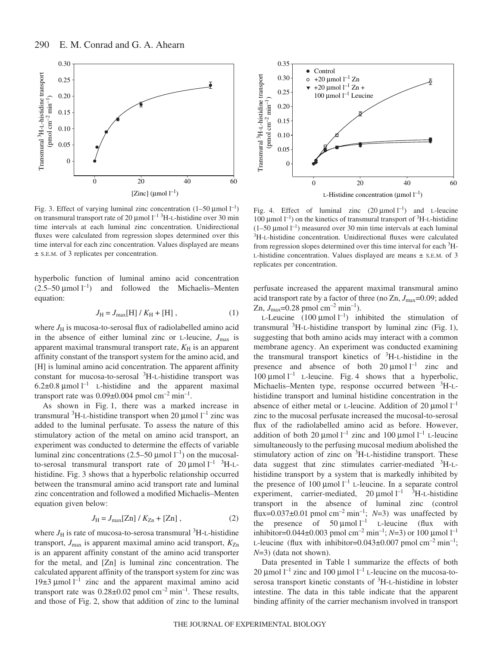

Fig. 3. Effect of varying luminal zinc concentration  $(1-50 \,\mu\text{mol}\,l^{-1})$ on transmural transport rate of 20  $\mu$ mol  $l^{-1}$ <sup>3</sup>H-L-histidine over 30 min time intervals at each luminal zinc concentration. Unidirectional fluxes were calculated from regression slopes determined over this time interval for each zinc concentration. Values displayed are means ± S.E.M. of 3 replicates per concentration.

hyperbolic function of luminal amino acid concentration  $(2.5-50 \mu \text{mol} \text{ l}^{-1})$  and followed the Michaelis–Menten equation:

$$
J_{\rm H} = J_{\rm max}[\rm H] / K_{\rm H} + [\rm H] \,, \tag{1}
$$

where  $J_H$  is mucosa-to-serosal flux of radiolabelled amino acid in the absence of either luminal zinc or L-leucine,  $J_{\text{max}}$  is apparent maximal transmural transport rate,  $K_H$  is an apparent affinity constant of the transport system for the amino acid, and [H] is luminal amino acid concentration. The apparent affinity constant for mucosa-to-serosal <sup>3</sup>H-L-histidine transport was 6.2 $\pm$ 0.8 µmol l<sup>-1</sup> L-histidine and the apparent maximal transport rate was  $0.09\pm0.004$  pmol cm<sup>-2</sup> min<sup>-1</sup>.

As shown in Fig. 1, there was a marked increase in transmural <sup>3</sup>H-L-histidine transport when 20  $\mu$ mol  $l^{-1}$  zinc was added to the luminal perfusate. To assess the nature of this stimulatory action of the metal on amino acid transport, an experiment was conducted to determine the effects of variable luminal zinc concentrations  $(2.5-50 \mu \text{mol} \text{ } l^{-1})$  on the mucosalto-serosal transmural transport rate of  $20 \mu$ mol<sup>1-1</sup> <sup>3</sup>H-Lhistidine. Fig. 3 shows that a hyperbolic relationship occurred between the transmural amino acid transport rate and luminal zinc concentration and followed a modified Michaelis–Menten equation given below:

$$
J_{\rm H} = J_{\rm max}[Zn] / K_{\rm Zn} + [Zn] \,, \tag{2}
$$

where  $J_H$  is rate of mucosa-to-serosa transmural  ${}^{3}H$ -L-histidine transport,  $J_{\text{max}}$  is apparent maximal amino acid transport,  $K_{\text{Zn}}$ is an apparent affinity constant of the amino acid transporter for the metal, and [Zn] is luminal zinc concentration. The calculated apparent affinity of the transport system for zinc was 19 $\pm$ 3 µmol l<sup>-1</sup> zinc and the apparent maximal amino acid transport rate was  $0.28\pm0.02$  pmol cm<sup>-2</sup> min<sup>-1</sup>. These results, and those of Fig. 2, show that addition of zinc to the luminal



Fig. 4. Effect of luminal zinc  $(20 \text{ \mu mol})^{-1}$  and L-leucine 100 μmol<sup>-1</sup>) on the kinetics of transmural transport of <sup>3</sup>H-L-histidine  $(1-50 \mu \text{mol} \, \text{m}^{-1})$  measured over 30 min time intervals at each luminal <sup>3</sup>H-L-histidine concentration. Unidirectional fluxes were calculated from regression slopes determined over this time interval for each <sup>3</sup>H-L-histidine concentration. Values displayed are means ± S.E.M. of 3 replicates per concentration.

perfusate increased the apparent maximal transmural amino acid transport rate by a factor of three (no Zn, *J*max=0.09; added Zn,  $J_{\text{max}}$ =0.28 pmol cm<sup>-2</sup> min<sup>-1</sup>).

L-Leucine  $(100 \mu \text{mol} \, \text{I}^{-1})$  inhibited the stimulation of transmural  ${}^{3}$ H-L-histidine transport by luminal zinc (Fig. 1), suggesting that both amino acids may interact with a common membrane agency. An experiment was conducted examining the transmural transport kinetics of <sup>3</sup>H-L-histidine in the presence and absence of both  $20 \mu$ mol  $l^{-1}$  zinc and 100  $\mu$ mol l<sup>-1</sup> L-leucine. Fig. 4 shows that a hyperbolic, Michaelis–Menten type, response occurred between <sup>3</sup>H-Lhistidine transport and luminal histidine concentration in the absence of either metal or L-leucine. Addition of 20  $\mu$ mol  $l^{-1}$ zinc to the mucosal perfusate increased the mucosal-to-serosal flux of the radiolabelled amino acid as before. However, addition of both 20  $\mu$ mol l<sup>-1</sup> zinc and 100  $\mu$ mol l<sup>-1</sup> L-leucine simultaneously to the perfusing mucosal medium abolished the stimulatory action of zinc on <sup>3</sup>H-L-histidine transport. These data suggest that zinc stimulates carrier-mediated <sup>3</sup>H-Lhistidine transport by a system that is markedly inhibited by the presence of 100  $\mu$ mol l<sup>-1</sup> L-leucine. In a separate control experiment, carrier-mediated,  $20 \mu$ mol l<sup>-1</sup> <sup>3</sup>H-L-histidine transport in the absence of luminal zinc (control flux= $0.037\pm0.01$  pmol cm<sup>-2</sup> min<sup>-1</sup>; *N*=3) was unaffected by the presence of 50  $\mu$ mol l<sup>-1</sup> L-leucine (flux with inhibitor= $0.044 \pm 0.003$  pmol cm<sup>-2</sup> min<sup>-1</sup>; *N*=3) or 100 µmol l<sup>-1</sup> L-leucine (flux with inhibitor=0.043 $\pm$ 0.007 pmol cm<sup>-2</sup> min<sup>-1</sup>; *N*=3) (data not shown).

Data presented in Table 1 summarize the effects of both 20 µmol  $l^{-1}$  zinc and 100 µmol  $l^{-1}$  L-leucine on the mucosa-toserosa transport kinetic constants of <sup>3</sup>H-L-histidine in lobster intestine. The data in this table indicate that the apparent binding affinity of the carrier mechanism involved in transport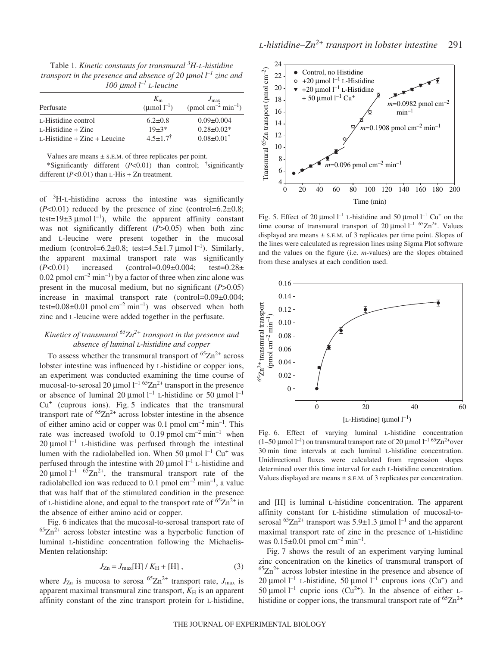Table 1. *Kinetic constants for transmural* <sup>3</sup>H-L-histidine *transport in the presence and absence of 20·*µ*mol·l –1 zinc and 100·*µ*mol·l –1 L-leucine*

| Perfusate                       | $K_{\rm m}$<br>( $\mu$ mol $l^{-1}$ ) | $J_{\rm max}$<br>(pmol cm <sup>-2</sup> min <sup>-1</sup> ) |
|---------------------------------|---------------------------------------|-------------------------------------------------------------|
| L-Histidine control             | $6.2 \pm 0.8$                         | $0.09 \pm 0.004$                                            |
| $L$ -Histidine + Zinc           | $19+3*$                               | $0.28 \pm 0.02*$                                            |
| $L$ -Histidine + Zinc + Leucine | $4.5 + 1.7^{\dagger}$                 | $0.08 \pm 0.01^{\dagger}$                                   |

Values are means ± S.E.M. of three replicates per point.

\*Significantly different (*P*<0.01) than control; † significantly different  $(P<0.01)$  than L-His + Zn treatment.

of <sup>3</sup>H-L-histidine across the intestine was significantly  $(P<0.01)$  reduced by the presence of zinc (control= $6.2\pm0.8$ ; test=19 $\pm$ 3 µmol l<sup>-1</sup>), while the apparent affinity constant was not significantly different (*P*>0.05) when both zinc and L-leucine were present together in the mucosal medium (control= $6.2 \pm 0.8$ ; test= $4.5 \pm 1.7$  µmol l<sup>-1</sup>). Similarly, the apparent maximal transport rate was significantly (*P*<0.01) increased (control=0.09±0.004; test=0.28± 0.02 pmol  $\text{cm}^{-2}$  min<sup>-1</sup>) by a factor of three when zinc alone was present in the mucosal medium, but no significant (*P*>0.05) increase in maximal transport rate (control=0.09±0.004; test= $0.08\pm0.01$  pmol cm<sup>-2</sup> min<sup>-1</sup>) was observed when both zinc and L-leucine were added together in the perfusate.

# *Kinetics of transmural 65Zn2+ transport in the presence and absence of luminal L-histidine and copper*

To assess whether the transmural transport of  ${}^{65}Zn^{2+}$  across lobster intestine was influenced by L-histidine or copper ions, an experiment was conducted examining the time course of mucosal-to-serosal 20  $\mu$ mol l<sup>-1 65</sup>Zn<sup>2+</sup> transport in the presence or absence of luminal 20  $\mu$ mol l<sup>-1</sup> L-histidine or 50  $\mu$ mol l<sup>-1</sup>  $Cu<sup>+</sup>$  (cuprous ions). Fig. 5 indicates that the transmural transport rate of  ${}^{65}Zn^{2+}$  across lobster intestine in the absence of either amino acid or copper was 0.1 pmol  $cm^{-2}$  min<sup>-1</sup>. This rate was increased twofold to 0.19 pmol $\text{cm}^{-2}\text{min}^{-1}$  when 20  $\mu$ mol l<sup>-1</sup> L-histidine was perfused through the intestinal lumen with the radiolabelled ion. When 50  $\mu$ mol l<sup>-1</sup> Cu<sup>+</sup> was perfused through the intestine with 20  $\mu$ mol  $l^{-1}$  L-histidine and 20  $\mu$ mol l<sup>-1 65</sup>Zn<sup>2+</sup>, the transmural transport rate of the radiolabelled ion was reduced to 0.1 pmol  $cm^{-2}$  min<sup>-1</sup>, a value that was half that of the stimulated condition in the presence of L-histidine alone, and equal to the transport rate of  ${}^{65}Zn^{2+}$  in the absence of either amino acid or copper.

Fig. 6 indicates that the mucosal-to-serosal transport rate of  ${}^{65}Zn^{2+}$  across lobster intestine was a hyperbolic function of luminal L-histidine concentration following the Michaelis-Menten relationship:

$$
J_{Zn} = J_{\text{max}}[H] / K_H + [H], \qquad (3)
$$

where  $J_{Zn}$  is mucosa to serosa  ${}^{65}Zn^{2+}$  transport rate,  $J_{max}$  is apparent maximal transmural zinc transport,  $K_H$  is an apparent affinity constant of the zinc transport protein for L-histidine,



Fig. 5. Effect of 20  $\mu$ mol l<sup>-1</sup> L-histidine and 50  $\mu$ mol l<sup>-1</sup> Cu<sup>+</sup> on the time course of transmural transport of 20  $\mu$ mol l<sup>-1 65</sup>Zn<sup>2+</sup>. Values displayed are means  $\pm$  s.E.M. of 3 replicates per time point. Slopes of the lines were calculated as regression lines using Sigma Plot software and the values on the figure (i.e. *m*-values) are the slopes obtained from these analyses at each condition used.



Fig. 6. Effect of varying luminal L-histidine concentration (1–50 µmol  $l^{-1}$ ) on transmural transport rate of 20 µmol  $l^{-1}$  <sup>65</sup>Zn<sup>2+</sup>over 30 min time intervals at each luminal L-histidine concentration. Unidirectional fluxes were calculated from regression slopes determined over this time interval for each L-histidine concentration. Values displayed are means  $\pm$  s.e.m. of 3 replicates per concentration.

and [H] is luminal L-histidine concentration. The apparent affinity constant for L-histidine stimulation of mucosal-toserosal  ${}^{65}Zn^{2+}$  transport was 5.9 $\pm$ 1.3 µmol l<sup>-1</sup> and the apparent maximal transport rate of zinc in the presence of L-histidine was  $0.15\pm0.01$  pmol cm<sup>-2</sup> min<sup>-1</sup>.

Fig. 7 shows the result of an experiment varying luminal zinc concentration on the kinetics of transmural transport of  ${}^{65}Zn^{2+}$  across lobster intestine in the presence and absence of 20 µmol  $l^{-1}$  L-histidine, 50 µmol  $l^{-1}$  cuprous ions (Cu<sup>+</sup>) and 50 µmol  $l^{-1}$  cupric ions (Cu<sup>2+</sup>). In the absence of either Lhistidine or copper ions, the transmural transport rate of  ${}^{65}Zn^{2+}$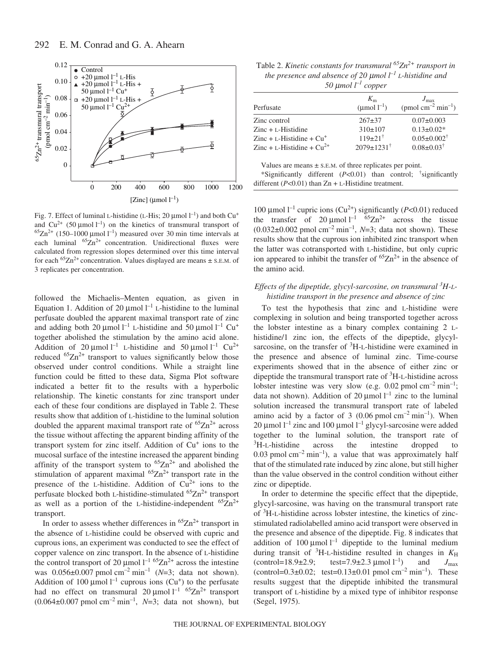

Fig. 7. Effect of luminal L-histidine (L-His; 20  $\mu$ mol  $l^{-1}$ ) and both Cu<sup>+</sup> and  $Cu^{2+}$  (50 µmol  $l^{-1}$ ) on the kinetics of transmural transport of  ${}^{65}Zn^{2+}$  (150–1000 µmol l<sup>-1</sup>) measured over 30 min time intervals at each luminal  ${}^{65}Zn^{2+}$  concentration. Unidirectional fluxes were calculated from regression slopes determined over this time interval for each  ${}^{65}Zn^{2+}$  concentration. Values displayed are means  $\pm$  s.E.M. of 3 replicates per concentration.

followed the Michaelis–Menten equation, as given in Equation 1. Addition of 20  $\mu$ mol  $l^{-1}$  L-histidine to the luminal perfusate doubled the apparent maximal transport rate of zinc and adding both 20  $\mu$ mol l<sup>-1</sup> L-histidine and 50  $\mu$ mol l<sup>-1</sup> Cu<sup>+</sup> together abolished the stimulation by the amino acid alone. Addition of 20  $\mu$ mol l<sup>-1</sup> L-histidine and 50  $\mu$ mol l<sup>-1</sup> Cu<sup>2+</sup> reduced  ${}^{65}Zn^{2+}$  transport to values significantly below those observed under control conditions. While a straight line function could be fitted to these data, Sigma Plot software indicated a better fit to the results with a hyperbolic relationship. The kinetic constants for zinc transport under each of these four conditions are displayed in Table 2. These results show that addition of L-histidine to the luminal solution doubled the apparent maximal transport rate of  ${}^{65}Zn^{2+}$  across the tissue without affecting the apparent binding affinity of the transport system for zinc itself. Addition of Cu<sup>+</sup> ions to the mucosal surface of the intestine increased the apparent binding affinity of the transport system to  ${}^{65}Zn^{2+}$  and abolished the stimulation of apparent maximal  ${}^{65}Zn^{2+}$  transport rate in the presence of the L-histidine. Addition of  $Cu^{2+}$  ions to the perfusate blocked both L-histidine-stimulated  ${}^{65}Zn^{2+}$  transport as well as a portion of the L-histidine-independent  ${}^{65}Zn^{2+}$ transport.

In order to assess whether differences in  ${}^{65}Zn^{2+}$  transport in the absence of L-histidine could be observed with cupric and cuprous ions, an experiment was conducted to see the effect of copper valence on zinc transport. In the absence of L-histidine the control transport of 20  $\mu$ mol l<sup>-1 65</sup>Zn<sup>2+</sup> across the intestine was  $0.056\pm0.007$  pmol cm<sup>-2</sup> min<sup>-1</sup> (*N*=3; data not shown). Addition of 100  $\mu$ mol l<sup>-1</sup> cuprous ions (Cu<sup>+</sup>) to the perfusate had no effect on transmural  $20 \mu$ mol<sup>1-1 65</sup>Zn<sup>2+</sup> transport  $(0.064\pm0.007~\text{pmol cm}^{-2}~\text{min}^{-1}, N=3; \text{ data not shown}), \text{ but}$ 

Table 2. *Kinetic constants for transmural* <sup>65</sup>Zn<sup>2+</sup> *transport in the presence and absence of 20·*µ*mol·l –1 L-histidine and 50·*µ*mol·l –1 copper*

|                                | $K_{m}$                   | $J_{\rm max}$                              |
|--------------------------------|---------------------------|--------------------------------------------|
| Perfusate                      | $(\text{µmol } l^{-1})$   | (pmol cm <sup>-2</sup> min <sup>-1</sup> ) |
| Zinc control                   | $267+37$                  | $0.07 \pm 0.003$                           |
| $Zinc + L-Histidine$           | $310\pm 107$              | $0.13 \pm 0.02*$                           |
| $Zinc + L-Histidine + Cu+$     | $119\pm21^{\dagger}$      | $0.05 \pm 0.002^{\dagger}$                 |
| Zinc + L-Histidine + $Cu^{2+}$ | $2079 \pm 1231^{\dagger}$ | $0.08 \pm 0.03^{\dagger}$                  |

Values are means  $\pm$  s.E.M. of three replicates per point.

\*Significantly different (*P*<0.01) than control; † significantly different  $(P<0.01)$  than  $Zn + L$ -Histidine treatment.

100 µmol  $l^{-1}$  cupric ions (Cu<sup>2+</sup>) significantly (*P*<0.01) reduced the transfer of  $20 \mu$ mol<sup>1-1 65</sup>Zn<sup>2+</sup> across the tissue  $(0.032\pm0.002~\text{pmol cm}^{-2}~\text{min}^{-1}, N=3; \text{ data not shown}).$  These results show that the cuprous ion inhibited zinc transport when the latter was cotransported with L-histidine, but only cupric ion appeared to inhibit the transfer of  ${}^{65}Zn^{2+}$  in the absence of the amino acid.

# Effects of the dipeptide, glycyl-sarcosine, on transmural <sup>3</sup>H-L*histidine transport in the presence and absence of zinc*

To test the hypothesis that zinc and L-histidine were complexing in solution and being transported together across the lobster intestine as a binary complex containing 2 Lhistidine/1 zinc ion, the effects of the dipeptide, glycylsarcosine, on the transfer of  ${}^{3}$ H-L-histidine were examined in the presence and absence of luminal zinc. Time-course experiments showed that in the absence of either zinc or dipeptide the transmural transport rate of <sup>3</sup> H-L-histidine across lobster intestine was very slow (e.g.  $0.02$  pmol cm<sup>-2</sup> min<sup>-1</sup>; data not shown). Addition of 20  $\mu$ mol l<sup>-1</sup> zinc to the luminal solution increased the transmural transport rate of labeled amino acid by a factor of 3 (0.06 pmol  $cm^{-2}$  min<sup>-1</sup>). When 20  $\mu$ mol  $l^{-1}$  zinc and 100  $\mu$ mol  $l^{-1}$  glycyl-sarcosine were added together to the luminal solution, the transport rate of <sup>3</sup>H-L-histidine across the intestine dropped to 0.03 pmol  $\text{cm}^{-2}$  min<sup>-1</sup>), a value that was approximately half that of the stimulated rate induced by zinc alone, but still higher than the value observed in the control condition without either zinc or dipeptide.

In order to determine the specific effect that the dipeptide, glycyl-sarcosine, was having on the transmural transport rate of <sup>3</sup> H-L-histidine across lobster intestine, the kinetics of zincstimulated radiolabelled amino acid transport were observed in the presence and absence of the dipeptide. Fig. 8 indicates that addition of 100  $\mu$ mol l<sup>-1</sup> dipeptide to the luminal medium during transit of  ${}^{3}$ H-L-histidine resulted in changes in  $K_H$  $(control=18.9\pm 2.9; test=7.9\pm 2.3 \,\mu\text{mol}^{-1})$ and  $J_{\text{max}}$ (control= $0.3\pm0.02$ ; test= $0.13\pm0.01$  pmol cm<sup>-2</sup> min<sup>-1</sup>). These results suggest that the dipeptide inhibited the transmural transport of L-histidine by a mixed type of inhibitor response (Segel, 1975).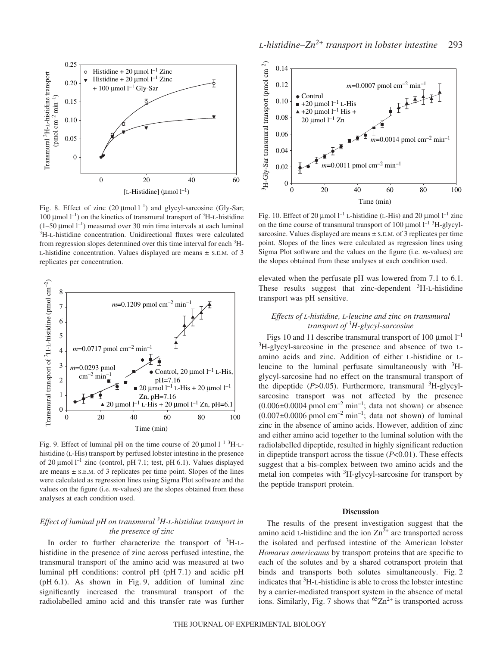

Fig. 8. Effect of zinc  $(20 \mu \text{mol l}^{-1})$  and glycyl-sarcosine (Gly-Sar; 100  $\mu$ mol l<sup>-1</sup>) on the kinetics of transmural transport of <sup>3</sup>H-L-histidine  $(1-50 \mu \text{mol} \, \text{m}^{-1})$  measured over 30 min time intervals at each luminal <sup>3</sup>H-L-histidine concentration. Unidirectional fluxes were calculated from regression slopes determined over this time interval for each <sup>3</sup>H-L-histidine concentration. Values displayed are means ± S.E.M. of 3 replicates per concentration.



Fig. 9. Effect of luminal pH on the time course of 20  $\mu$ mol l<sup>-1 3</sup>H-Lhistidine (L-His) transport by perfused lobster intestine in the presence of 20  $\mu$ mol l<sup>-1</sup> zinc (control, pH 7.1; test, pH 6.1). Values displayed are means  $\pm$  s.E.M. of 3 replicates per time point. Slopes of the lines were calculated as regression lines using Sigma Plot software and the values on the figure (i.e. *m*-values) are the slopes obtained from these analyses at each condition used.

# *Effect of luminal pH on transmural <sup>3</sup> H-L-histidine transport in the presence of zinc*

In order to further characterize the transport of  ${}^{3}$ H-Lhistidine in the presence of zinc across perfused intestine, the transmural transport of the amino acid was measured at two luminal pH conditions: control pH  $(pH 7.1)$  and acidic pH  $(pH 6.1)$ . As shown in Fig. 9, addition of luminal zinc significantly increased the transmural transport of the radiolabelled amino acid and this transfer rate was further



Fig. 10. Effect of 20  $\mu$ mol l<sup>-1</sup> L-histidine (L-His) and 20  $\mu$ mol l<sup>-1</sup> zinc on the time course of transmural transport of 100  $\mu$ mol  $l^{-1}$ <sup>3</sup>H-glycylsarcosine. Values displayed are means  $\pm$  s.E.M. of 3 replicates per time point. Slopes of the lines were calculated as regression lines using Sigma Plot software and the values on the figure (i.e. *m*-values) are the slopes obtained from these analyses at each condition used.

elevated when the perfusate pH was lowered from 7.1 to 6.1. These results suggest that zinc-dependent <sup>3</sup>H-L-histidine transport was pH sensitive.

## *Effects of L-histidine, L-leucine and zinc on transmural transport of <sup>3</sup> H-glycyl-sarcosine*

Figs 10 and 11 describe transmural transport of 100  $\mu$ mol  $l^{-1}$ <sup>3</sup>H-glycyl-sarcosine in the presence and absence of two Lamino acids and zinc. Addition of either L-histidine or Lleucine to the luminal perfusate simultaneously with  $3H$ glycyl-sarcosine had no effect on the transmural transport of the dipeptide (P>0.05). Furthermore, transmural <sup>3</sup>H-glycylsarcosine transport was not affected by the presence  $(0.006\pm0.0004$  pmol cm<sup>-2</sup> min<sup>-1</sup>; data not shown) or absence  $(0.007\pm0.0006$  pmol cm<sup>-2</sup> min<sup>-1</sup>; data not shown) of luminal zinc in the absence of amino acids. However, addition of zinc and either amino acid together to the luminal solution with the radiolabelled dipeptide, resulted in highly significant reduction in dipeptide transport across the tissue (*P*<0.01). These effects suggest that a bis-complex between two amino acids and the metal ion competes with <sup>3</sup>H-glycyl-sarcosine for transport by the peptide transport protein.

### **Discussion**

The results of the present investigation suggest that the amino acid L-histidine and the ion  $\text{Zn}^{2+}$  are transported across the isolated and perfused intestine of the American lobster *Homarus americanus* by transport proteins that are specific to each of the solutes and by a shared cotransport protein that binds and transports both solutes simultaneously. Fig. 2 indicates that 3 H-L-histidine is able to cross the lobster intestine by a carrier-mediated transport system in the absence of metal ions. Similarly, Fig. 7 shows that  ${}^{65}Zn^{2+}$  is transported across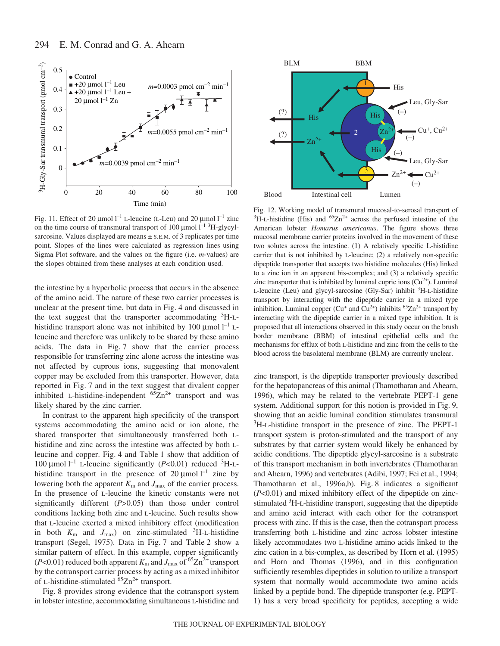

Fig. 11. Effect of 20  $\mu$ mol l<sup>-1</sup> L-leucine (L-Leu) and 20  $\mu$ mol l<sup>-1</sup> zinc on the time course of transmural transport of 100  $\mu$ mol  $l^{-1}$ <sup>3</sup>H-glycylsarcosine. Values displayed are means  $\pm$  s.E.M. of 3 replicates per time point. Slopes of the lines were calculated as regression lines using Sigma Plot software, and the values on the figure (i.e. *m*-values) are the slopes obtained from these analyses at each condition used.

the intestine by a hyperbolic process that occurs in the absence of the amino acid. The nature of these two carrier processes is unclear at the present time, but data in Fig. 4 and discussed in the text suggest that the transporter accommodating <sup>3</sup>H-Lhistidine transport alone was not inhibited by 100  $\mu$ mol  $l^{-1}$  Lleucine and therefore was unlikely to be shared by these amino acids. The data in Fig. 7 show that the carrier process responsible for transferring zinc alone across the intestine was not affected by cuprous ions, suggesting that monovalent copper may be excluded from this transporter. However, data reported in Fig. 7 and in the text suggest that divalent copper inhibited L-histidine-independent  ${}^{65}Zn^{2+}$  transport and was likely shared by the zinc carrier.

In contrast to the apparent high specificity of the transport systems accommodating the amino acid or ion alone, the shared transporter that simultaneously transferred both Lhistidine and zinc across the intestine was affected by both Lleucine and copper. Fig. 4 and Table 1 show that addition of 100  $\mu$ mol l<sup>-1</sup> L-leucine significantly (*P*<0.01) reduced <sup>3</sup>H-Lhistidine transport in the presence of 20  $\mu$ mol l<sup>-1</sup> zinc by lowering both the apparent  $K_m$  and  $J_{\text{max}}$  of the carrier process. In the presence of L-leucine the kinetic constants were not significantly different (*P*>0.05) than those under control conditions lacking both zinc and L-leucine. Such results show that L-leucine exerted a mixed inhibitory effect (modification in both  $K_{\text{m}}$  and  $J_{\text{max}}$ ) on zinc-stimulated <sup>3</sup>H-L-histidine transport (Segel, 1975). Data in Fig. 7 and Table 2 show a similar pattern of effect. In this example, copper significantly ( $P$ <0.01) reduced both apparent  $K_m$  and  $J_{\text{max}}$  of <sup>65</sup>Zn<sup>2+</sup> transport by the cotransport carrier process by acting as a mixed inhibitor of L-histidine-stimulated  $65Zn^{2+}$  transport.

Fig. 8 provides strong evidence that the cotransport system in lobster intestine, accommodating simultaneous L-histidine and



Fig. 12. Working model of transmural mucosal-to-serosal transport of  ${}^{3}$ H-L-histidine (His) and  ${}^{65}Zn^{2+}$  across the perfused intestine of the American lobster *Homarus americanus*. The figure shows three mucosal membrane carrier proteins involved in the movement of these two solutes across the intestine. (1) A relatively specific L-histidine carrier that is not inhibited by L-leucine; (2) a relatively non-specific dipeptide transporter that accepts two histidine molecules (His) linked to a zinc ion in an apparent bis-complex; and (3) a relatively specific zinc transporter that is inhibited by luminal cupric ions  $(Cu^{2+})$ . Luminal L-leucine (Leu) and glycyl-sarcosine (Gly-Sar) inhibit <sup>3</sup>H-L-histidine transport by interacting with the dipeptide carrier in a mixed type inhibition. Luminal copper ( $Cu^+$  and  $Cu^{2+}$ ) inhibits  $^{65}Zn^{2+}$  transport by interacting with the dipeptide carrier in a mixed type inhibition. It is proposed that all interactions observed in this study occur on the brush border membrane (BBM) of intestinal epithelial cells and the mechanisms for efflux of both L-histidine and zinc from the cells to the blood across the basolateral membrane (BLM) are currently unclear.

zinc transport, is the dipeptide transporter previously described for the hepatopancreas of this animal (Thamotharan and Ahearn, 1996), which may be related to the vertebrate PEPT-1 gene system. Additional support for this notion is provided in Fig. 9, showing that an acidic luminal condition stimulates transmural <sup>3</sup>H-L-histidine transport in the presence of zinc. The PEPT-1 transport system is proton-stimulated and the transport of any substrates by that carrier system would likely be enhanced by acidic conditions. The dipeptide glycyl-sarcosine is a substrate of this transport mechanism in both invertebrates (Thamotharan and Ahearn, 1996) and vertebrates (Adibi, 1997; Fei et al., 1994; Thamotharan et al., 1996a,b). Fig. 8 indicates a significant (*P*<0.01) and mixed inhibitory effect of the dipeptide on zincstimulated <sup>3</sup>H-L-histidine transport, suggesting that the dipeptide and amino acid interact with each other for the cotransport process with zinc. If this is the case, then the cotransport process transferring both L-histidine and zinc across lobster intestine likely accommodates two L-histidine amino acids linked to the zinc cation in a bis-complex, as described by Horn et al. (1995) and Horn and Thomas (1996), and in this configuration sufficiently resembles dipeptides in solution to utilize a transport system that normally would accommodate two amino acids linked by a peptide bond. The dipeptide transporter (e.g. PEPT-1) has a very broad specificity for peptides, accepting a wide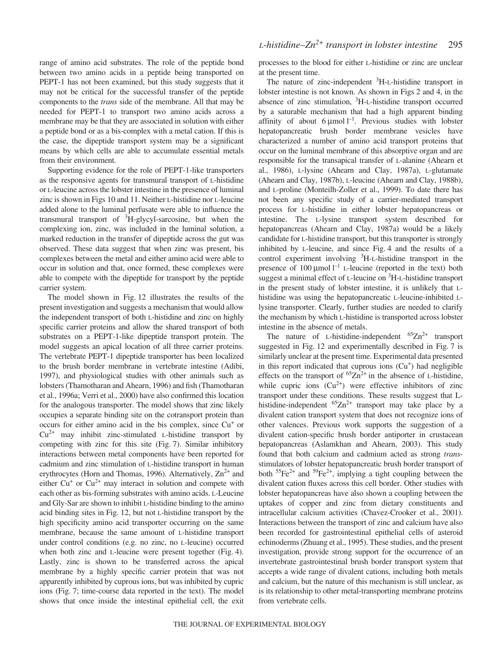range of amino acid substrates. The role of the peptide bond between two amino acids in a peptide being transported on PEPT-1 has not been examined, but this study suggests that it may not be critical for the successful transfer of the peptide components to the *trans* side of the membrane. All that may be needed for PEPT-1 to transport two amino acids across a membrane may be that they are associated in solution with either a peptide bond or as a bis-complex with a metal cation. If this is the case, the dipeptide transport system may be a significant means by which cells are able to accumulate essential metals from their environment.

Supporting evidence for the role of PEPT-1-like transporters as the responsive agents for transmural transport of L-histidine or L-leucine across the lobster intestine in the presence of luminal zinc is shown in Figs·10 and 11. Neither L-histidine nor L-leucine added alone to the luminal perfusate were able to influence the transmural transport of <sup>3</sup>H-glycyl-sarcosine, but when the complexing ion, zinc, was included in the luminal solution, a marked reduction in the transfer of dipeptide across the gut was observed. These data suggest that when zinc was present, bis complexes between the metal and either amino acid were able to occur in solution and that, once formed, these complexes were able to compete with the dipeptide for transport by the peptide carrier system.

The model shown in Fig. 12 illustrates the results of the present investigation and suggests a mechanism that would allow the independent transport of both L-histidine and zinc on highly specific carrier proteins and allow the shared transport of both substrates on a PEPT-1-like dipeptide transport protein. The model suggests an apical location of all three carrier proteins. The vertebrate PEPT-1 dipeptide transporter has been localized to the brush border membrane in vertebrate intestine (Adibi, 1997), and physiological studies with other animals such as lobsters (Thamotharan and Ahearn, 1996) and fish (Thamotharan et al., 1996a; Verri et al., 2000) have also confirmed this location for the analogous transporter. The model shows that zinc likely occupies a separate binding site on the cotransport protein than occurs for either amino acid in the bis complex, since Cu<sup>+</sup> or  $Cu<sup>2+</sup>$  may inhibit zinc-stimulated L-histidine transport by competing with zinc for this site (Fig. 7). Similar inhibitory interactions between metal components have been reported for cadmium and zinc stimulation of L-histidine transport in human erythrocytes (Horn and Thomas, 1996). Alternatively,  $\text{Zn}^{2+}$  and either  $Cu<sup>+</sup>$  or  $Cu<sup>2+</sup>$  may interact in solution and compete with each other as bis-forming substrates with amino acids. L-Leucine and Gly-Sar are shown to inhibit L-histidine binding to the amino acid binding sites in Fig. 12, but not L-histidine transport by the high specificity amino acid transporter occurring on the same membrane, because the same amount of L-histidine transport under control conditions (e.g. no zinc, no L-leucine) occurred when both zinc and L-leucine were present together (Fig. 4). Lastly, zinc is shown to be transferred across the apical membrane by a highly specific carrier protein that was not apparently inhibited by cuprous ions, but was inhibited by cupric ions (Fig. 7; time-course data reported in the text). The model shows that once inside the intestinal epithelial cell, the exit processes to the blood for either L-histidine or zinc are unclear at the present time.

The nature of zinc-independent <sup>3</sup>H-L-histidine transport in lobster intestine is not known. As shown in Figs 2 and 4, in the absence of zinc stimulation, <sup>3</sup>H-L-histidine transport occurred by a saturable mechanism that had a high apparent binding affinity of about  $6 \mu$ mol<sup>1-1</sup>. Previous studies with lobster hepatopancreatic brush border membrane vesicles have characterized a number of amino acid transport proteins that occur on the luminal membrane of this absorptive organ and are responsible for the transapical transfer of L-alanine (Ahearn et al., 1986), L-lysine (Ahearn and Clay, 1987a), L-glutamate (Ahearn and Clay, 1987b), L-leucine (Ahearn and Clay, 1988b), and L-proline (Monteilh-Zoller et al., 1999). To date there has not been any specific study of a carrier-mediated transport process for L-histidine in either lobster hepatopancreas or intestine. The L-lysine transport system described for hepatopancreas (Ahearn and Clay, 1987a) would be a likely candidate for L-histidine transport, but this transporter is strongly inhibited by L-leucine, and since Fig. 4 and the results of a control experiment involving <sup>3</sup>H-L-histidine transport in the presence of  $100 \mu$ mol  $l^{-1}$  L-leucine (reported in the text) both suggest a minimal effect of L-leucine on <sup>3</sup>H-L-histidine transport in the present study of lobster intestine, it is unlikely that Lhistidine was using the hepatopancreatic L-leucine-inhibited Llysine transporter. Clearly, further studies are needed to clarify the mechanism by which L-histidine is transported across lobster intestine in the absence of metals.

The nature of L-histidine-independent  ${}^{65}Zn^{2+}$  transport suggested in Fig. 12 and experimentally described in Fig. 7 is similarly unclear at the present time. Experimental data presented in this report indicated that cuprous ions  $(Cu<sup>+</sup>)$  had negligible effects on the transport of  ${}^{65}Zn^{2+}$  in the absence of L-histidine, while cupric ions  $(Cu^{2+})$  were effective inhibitors of zinc transport under these conditions. These results suggest that Lhistidine-independent  ${}^{65}Zn^{2+}$  transport may take place by a divalent cation transport system that does not recognize ions of other valences. Previous work supports the suggestion of a divalent cation-specific brush border antiporter in crustacean hepatopancreas (Aslamkhan and Ahearn, 2003). This study found that both calcium and cadmium acted as strong *trans*stimulators of lobster hepatopancreatic brush border transport of both  ${}^{55}Fe^{2+}$  and  ${}^{59}Fe^{2+}$ , implying a tight coupling between the divalent cation fluxes across this cell border. Other studies with lobster hepatopancreas have also shown a coupling between the uptakes of copper and zinc from dietary constituents and intracellular calcium activities (Chavez-Crooker et al., 2001). Interactions between the transport of zinc and calcium have also been recorded for gastrointestinal epithelial cells of asteroid echinoderms (Zhuang et al., 1995). These studies, and the present investigation, provide strong support for the occurrence of an invertebrate gastrointestinal brush border transport system that accepts a wide range of divalent cations, including both metals and calcium, but the nature of this mechanism is still unclear, as is its relationship to other metal-transporting membrane proteins from vertebrate cells.